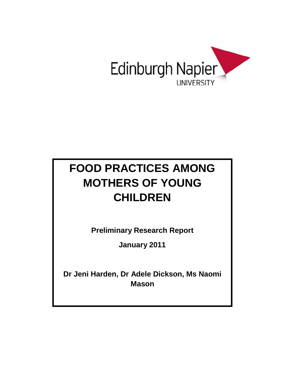

# **FOOD PRACTICES AMONG MOTHERS OF YOUNG CHILDREN**

**Preliminary Research Report**

**January 2011**

**Dr Jeni Harden, Dr Adele Dickson, Ms Naomi Mason**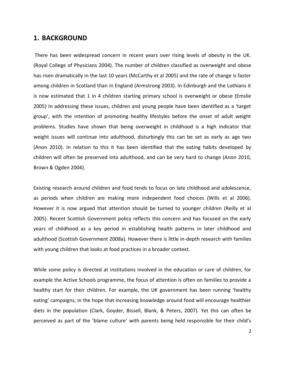### **1. BACKGROUND**

There has been widespread concern in recent years over rising levels of obesity in the UK. (Royal College of Physicians 2004). The number of children classified as overweight and obese has risen dramatically in the last 10 years (McCarthy et al 2005) and the rate of change is faster among children in Scotland than in England (Armstrong 2003). In Edinburgh and the Lothians it is now estimated that 1 in 4 children starting primary school is overweight or obese (Emslie 2005) In addressing these issues, children and young people have been identified as a 'target group', with the intention of promoting healthy lifestyles before the onset of adult weight problems. Studies have shown that being overweight in childhood is a high indicator that weight issues will continue into adulthood, disturbingly this can be set as early as age two (Anon 2010). In relation to this it has been identified that the eating habits developed by children will often be preserved into adulthood, and can be very hard to change (Anon 2010, Brown & Ogden 2004).

Existing research around children and food tends to focus on late childhood and adolescence, as periods when children are making more independent food choices (Wills et al 2006). However it is now argued that attention should be turned to younger children (Reilly et al 2005). Recent Scottish Government policy reflects this concern and has focused on the early years of childhood as a key period in establishing health patterns in later childhood and adulthood (Scottish Government 2008a). However there is little in-depth research with families with young children that looks at food practices in a broader context.

While some policy is directed at institutions involved in the education or care of children, for example the Active Schools programme, the focus of attention is often on families to provide a healthy start for their children. For example, the UK government has been running 'healthy eating' campaigns, in the hope that increasing knowledge around food will encourage healthier diets in the population (Clark, Goyder, Bissell, Blank, & Peters, 2007). Yet this can often be perceived as part of the 'blame culture' with parents being held responsible for their child's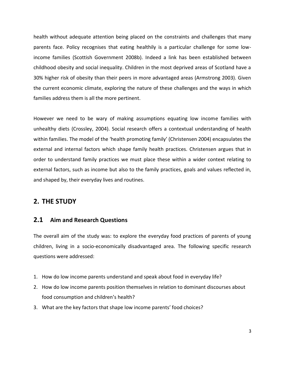health without adequate attention being placed on the constraints and challenges that many parents face. Policy recognises that eating healthily is a particular challenge for some lowincome families (Scottish Government 2008b). Indeed a link has been established between childhood obesity and social inequality. Children in the most deprived areas of Scotland have a 30% higher risk of obesity than their peers in more advantaged areas (Armstrong 2003). Given the current economic climate, exploring the nature of these challenges and the ways in which families address them is all the more pertinent.

However we need to be wary of making assumptions equating low income families with unhealthy diets (Crossley, 2004). Social research offers a contextual understanding of health within families. The model of the 'health promoting family' (Christensen 2004) encapsulates the external and internal factors which shape family health practices. Christensen argues that in order to understand family practices we must place these within a wider context relating to external factors, such as income but also to the family practices, goals and values reflected in, and shaped by, their everyday lives and routines.

### **2. THE STUDY**

### **2.1 Aim and Research Questions**

The overall aim of the study was: to explore the everyday food practices of parents of young children, living in a socio-economically disadvantaged area. The following specific research questions were addressed:

- 1. How do low income parents understand and speak about food in everyday life?
- 2. How do low income parents position themselves in relation to dominant discourses about food consumption and children's health?
- 3. What are the key factors that shape low income parents' food choices?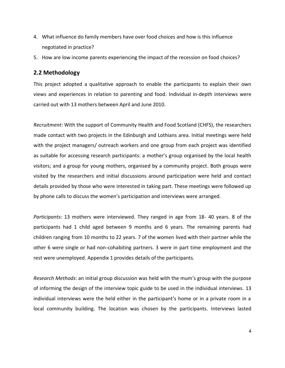- 4. What influence do family members have over food choices and how is this influence negotiated in practice?
- 5. How are low income parents experiencing the impact of the recession on food choices?

### **2.2 Methodology**

This project adopted a qualitative approach to enable the participants to explain their own views and experiences in relation to parenting and food. Individual in-depth interviews were carried out with 13 mothers between April and June 2010.

*Recruitment*: With the support of Community Health and Food Scotland (CHFS), the researchers made contact with two projects in the Edinburgh and Lothians area. Initial meetings were held with the project managers/ outreach workers and one group from each project was identified as suitable for accessing research participants: a mother's group organised by the local health visitors; and a group for young mothers, organised by a community project. Both groups were visited by the researchers and initial discussions around participation were held and contact details provided by those who were interested in taking part. These meetings were followed up by phone calls to discuss the women's participation and interviews were arranged.

*Participants*: 13 mothers were interviewed. They ranged in age from 18- 40 years. 8 of the participants had 1 child aged between 9 months and 6 years. The remaining parents had children ranging from 10 months to 22 years. 7 of the women lived with their partner while the other 6 were single or had non-cohabiting partners. 3 were in part time employment and the rest were unemployed. Appendix 1 provides details of the participants.

*Research Methods*: an initial group discussion was held with the mum's group with the purpose of informing the design of the interview topic guide to be used in the individual interviews. 13 individual interviews were the held either in the participant's home or in a private room in a local community building. The location was chosen by the participants. Interviews lasted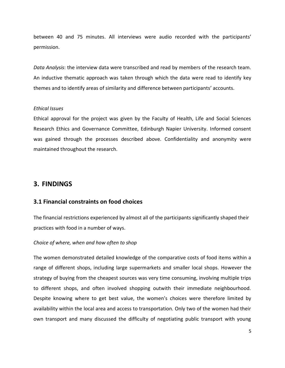between 40 and 75 minutes. All interviews were audio recorded with the participants' permission.

*Data Analysis*: the interview data were transcribed and read by members of the research team. An inductive thematic approach was taken through which the data were read to identify key themes and to identify areas of similarity and difference between participants' accounts.

#### *Ethical Issues*

Ethical approval for the project was given by the Faculty of Health, Life and Social Sciences Research Ethics and Governance Committee, Edinburgh Napier University. Informed consent was gained through the processes described above. Confidentiality and anonymity were maintained throughout the research.

### **3. FINDINGS**

### **3.1 Financial constraints on food choices**

The financial restrictions experienced by almost all of the participants significantly shaped their practices with food in a number of ways.

#### *Choice of where, when and how often to shop*

The women demonstrated detailed knowledge of the comparative costs of food items within a range of different shops, including large supermarkets and smaller local shops. However the strategy of buying from the cheapest sources was very time consuming, involving multiple trips to different shops, and often involved shopping outwith their immediate neighbourhood. Despite knowing where to get best value, the women's choices were therefore limited by availability within the local area and access to transportation. Only two of the women had their own transport and many discussed the difficulty of negotiating public transport with young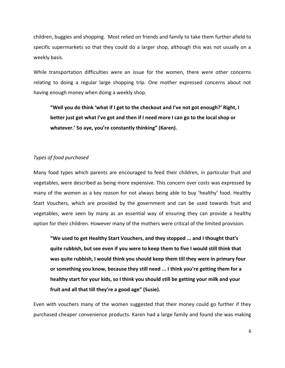children, buggies and shopping. Most relied on friends and family to take them further afield to specific supermarkets so that they could do a larger shop, although this was not usually on a weekly basis.

While transportation difficulties were an issue for the women, there were other concerns relating to doing a regular large shopping trip. One mother expressed concerns about not having enough money when doing a weekly shop.

**"Well you do think 'what if I get to the checkout and I've not got enough?' Right, I better just get what I've got and then if I need more I can go to the local shop or whatever.' So aye, you're constantly thinking" (Karen).** 

#### *Types of food purchased*

Many food types which parents are encouraged to feed their children, in particular fruit and vegetables, were described as being more expensive. This concern over costs was expressed by many of the women as a key reason for not always being able to buy 'healthy' food. Healthy Start Vouchers, which are provided by the government and can be used towards fruit and vegetables, were seen by many as an essential way of ensuring they can provide a healthy option for their children. However many of the mothers were critical of the limited provision.

**"We used to get Healthy Start Vouchers, and they stopped ... and I thought that's quite rubbish, but see even if you were to keep them to five I would still think that was quite rubbish, I would think you should keep them till they were in primary four or something you know, because they still need ... I think you're getting them for a healthy start for your kids, so I think you should still be getting your milk and your fruit and all that till they're a good age" (Susie).** 

Even with vouchers many of the women suggested that their money could go further if they purchased cheaper convenience products. Karen had a large family and found she was making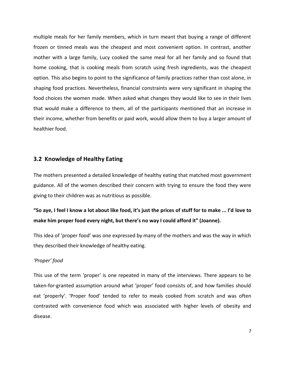multiple meals for her family members, which in turn meant that buying a range of different frozen or tinned meals was the cheapest and most convenient option. In contrast, another mother with a large family, Lucy cooked the same meal for all her family and so found that home cooking, that is cooking meals from scratch using fresh ingredients, was the cheapest option. This also begins to point to the significance of family practices rather than cost alone, in shaping food practices. Nevertheless, financial constraints were very significant in shaping the food choices the women made. When asked what changes they would like to see in their lives that would make a difference to them, all of the participants mentioned that an increase in their income, whether from benefits or paid work, would allow them to buy a larger amount of healthier food.

### **3.2 Knowledge of Healthy Eating**

The mothers presented a detailed knowledge of healthy eating that matched most government guidance. All of the women described their concern with trying to ensure the food they were giving to their children was as nutritious as possible.

### **"So aye, I feel I know a lot about like food, it's just the prices of stuff for to make ... I'd love to make him proper food every night, but there's no way I could afford it" (Joanne).**

This idea of 'proper food' was one expressed by many of the mothers and was the way in which they described their knowledge of healthy eating.

#### *'Proper' food*

This use of the term 'proper' is one repeated in many of the interviews. There appears to be taken-for-granted assumption around what 'proper' food consists of, and how families should eat 'properly'. 'Proper food' tended to refer to meals cooked from scratch and was often contrasted with convenience food which was associated with higher levels of obesity and disease.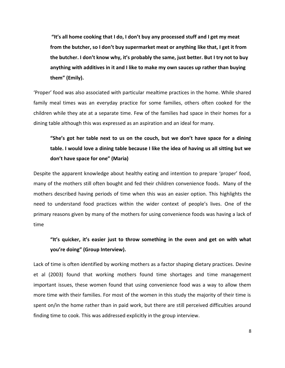**"It's all home cooking that I do, I don't buy any processed stuff and I get my meat from the butcher, so I don't buy supermarket meat or anything like that, I get it from the butcher. I don't know why, it's probably the same, just better. But I try not to buy anything with additives in it and I like to make my own sauces up rather than buying them" (Emily).** 

'Proper' food was also associated with particular mealtime practices in the home. While shared family meal times was an everyday practice for some families, others often cooked for the children while they ate at a separate time. Few of the families had space in their homes for a dining table although this was expressed as an aspiration and an ideal for many.

### **"She's got her table next to us on the couch, but we don't have space for a dining table. I would love a dining table because I like the idea of having us all sitting but we don't have space for one" (Maria)**

Despite the apparent knowledge about healthy eating and intention to prepare 'proper' food, many of the mothers still often bought and fed their children convenience foods. Many of the mothers described having periods of time when this was an easier option. This highlights the need to understand food practices within the wider context of people's lives. One of the primary reasons given by many of the mothers for using convenience foods was having a lack of time

### **"It's quicker, it's easier just to throw something in the oven and get on with what you're doing" (Group Interview).**

Lack of time is often identified by working mothers as a factor shaping dietary practices. Devine et al (2003) found that working mothers found time shortages and time management important issues, these women found that using convenience food was a way to allow them more time with their families. For most of the women in this study the majority of their time is spent on/in the home rather than in paid work, but there are still perceived difficulties around finding time to cook. This was addressed explicitly in the group interview.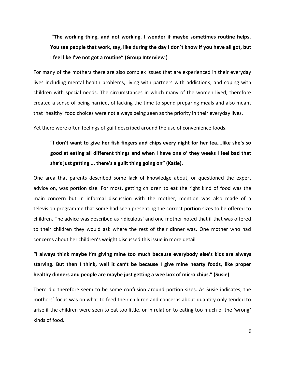**"The working thing, and not working. I wonder if maybe sometimes routine helps. You see people that work, say, like during the day I don't know if you have all got, but I feel like I've not got a routine" (Group Interview )** 

For many of the mothers there are also complex issues that are experienced in their everyday lives including mental health problems; living with partners with addictions; and coping with children with special needs. The circumstances in which many of the women lived, therefore created a sense of being harried, of lacking the time to spend preparing meals and also meant that 'healthy' food choices were not always being seen as the priority in their everyday lives.

Yet there were often feelings of guilt described around the use of convenience foods.

### **"I don't want to give her fish fingers and chips every night for her tea….like she's so good at eating all different things and when I have one o' they weeks I feel bad that she's just getting ... there's a guilt thing going on" (Katie).**

One area that parents described some lack of knowledge about, or questioned the expert advice on, was portion size. For most, getting children to eat the right kind of food was the main concern but in informal discussion with the mother, mention was also made of a television programme that some had seen presenting the correct portion sizes to be offered to children. The advice was described as ridiculous' and one mother noted that if that was offered to their children they would ask where the rest of their dinner was. One mother who had concerns about her children's weight discussed this issue in more detail.

**"I always think maybe I'm giving mine too much because everybody else's kids are always starving. But then I think, well it can't be because I give mine hearty foods, like proper healthy dinners and people are maybe just getting a wee box of micro chips." (Susie)**

There did therefore seem to be some confusion around portion sizes. As Susie indicates, the mothers' focus was on what to feed their children and concerns about quantity only tended to arise if the children were seen to eat too little, or in relation to eating too much of the 'wrong' kinds of food.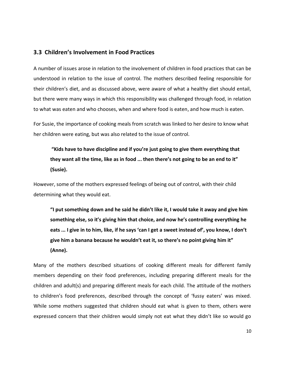### **3.3 Children's Involvement in Food Practices**

A number of issues arose in relation to the involvement of children in food practices that can be understood in relation to the issue of control. The mothers described feeling responsible for their children's diet, and as discussed above, were aware of what a healthy diet should entail, but there were many ways in which this responsibility was challenged through food, in relation to what was eaten and who chooses, when and where food is eaten, and how much is eaten.

For Susie, the importance of cooking meals from scratch was linked to her desire to know what her children were eating, but was also related to the issue of control.

**"Kids have to have discipline and if you're just going to give them everything that they want all the time, like as in food ... then there's not going to be an end to it" (Susie).** 

However, some of the mothers expressed feelings of being out of control, with their child determining what they would eat.

**"I put something down and he said he didn't like it, I would take it away and give him something else, so it's giving him that choice, and now he's controlling everything he eats ... I give in to him, like, if he says 'can I get a sweet instead of', you know, I don't give him a banana because he wouldn't eat it, so there's no point giving him it" (Anne).** 

Many of the mothers described situations of cooking different meals for different family members depending on their food preferences, including preparing different meals for the children and adult(s) and preparing different meals for each child. The attitude of the mothers to children's food preferences, described through the concept of 'fussy eaters' was mixed. While some mothers suggested that children should eat what is given to them, others were expressed concern that their children would simply not eat what they didn't like so would go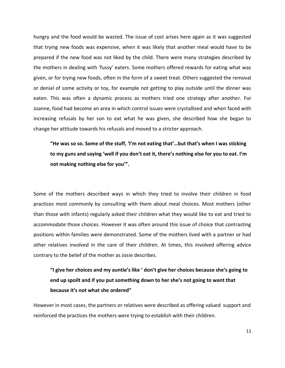hungry and the food would be wasted. The issue of cost arises here again as it was suggested that trying new foods was expensive, when it was likely that another meal would have to be prepared if the new food was not liked by the child. There were many strategies described by the mothers in dealing with 'fussy' eaters. Some mothers offered rewards for eating what was given, or for trying new foods, often in the form of a sweet treat. Others suggested the removal or denial of some activity or toy, for example not getting to play outside until the dinner was eaten. This was often a dynamic process as mothers tried one strategy after another. For Joanne, food had become an area in which control issues were crystallised and when faced with increasing refusals by her son to eat what he was given, she described how she began to change her attitude towards his refusals and moved to a stricter approach.

**"He was so so. Some of the stuff, 'I'm not eating that'…but that's when I was sticking to my guns and saying 'well if you don't eat it, there's nothing else for you to eat. I'm not making nothing else for you'".** 

Some of the mothers described ways in which they tried to involve their children in food practices most commonly by consulting with them about meal choices. Most mothers (other than those with infants) regularly asked their children what they would like to eat and tried to accommodate those choices. However it was often around this issue of choice that contrasting positions within families were demonstrated. Some of the mothers lived with a partner or had other relatives involved in the care of their children. At times, this involved offering advice contrary to the belief of the mother as Josie describes.

**"I give her choices and my auntie's like ' don't give her choices because she's going to end up spoilt and if you put something down to her she's not going to want that because it's not what she ordered"**

However in most cases, the partners or relatives were described as offering valued support and reinforced the practices the mothers were trying to establish with their children.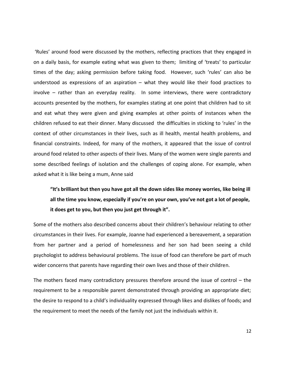'Rules' around food were discussed by the mothers, reflecting practices that they engaged in on a daily basis, for example eating what was given to them; limiting of 'treats' to particular times of the day; asking permission before taking food. However, such 'rules' can also be understood as expressions of an aspiration – what they would like their food practices to involve – rather than an everyday reality. In some interviews, there were contradictory accounts presented by the mothers, for examples stating at one point that children had to sit and eat what they were given and giving examples at other points of instances when the children refused to eat their dinner. Many discussed the difficulties in sticking to 'rules' in the context of other circumstances in their lives, such as ill health, mental health problems, and financial constraints. Indeed, for many of the mothers, it appeared that the issue of control around food related to other aspects of their lives. Many of the women were single parents and some described feelings of isolation and the challenges of coping alone. For example, when asked what it is like being a mum, Anne said

### **"It's brilliant but then you have got all the down sides like money worries, like being ill all the time you know, especially if you're on your own, you've not got a lot of people, it does get to you, but then you just get through it".**

Some of the mothers also described concerns about their children's behaviour relating to other circumstances in their lives. For example, Joanne had experienced a bereavement, a separation from her partner and a period of homelessness and her son had been seeing a child psychologist to address behavioural problems. The issue of food can therefore be part of much wider concerns that parents have regarding their own lives and those of their children.

The mothers faced many contradictory pressures therefore around the issue of control – the requirement to be a responsible parent demonstrated through providing an appropriate diet; the desire to respond to a child's individuality expressed through likes and dislikes of foods; and the requirement to meet the needs of the family not just the individuals within it.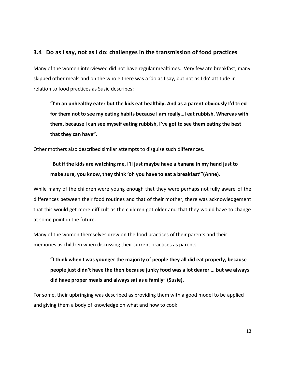### **3.4 Do as I say, not as I do: challenges in the transmission of food practices**

Many of the women interviewed did not have regular mealtimes. Very few ate breakfast, many skipped other meals and on the whole there was a 'do as I say, but not as I do' attitude in relation to food practices as Susie describes:

**"I'm an unhealthy eater but the kids eat healthily. And as a parent obviously I'd tried for them not to see my eating habits because I am really…I eat rubbish. Whereas with them, because I can see myself eating rubbish, I've got to see them eating the best that they can have".** 

Other mothers also described similar attempts to disguise such differences.

**"But if the kids are watching me, I'll just maybe have a banana in my hand just to make sure, you know, they think 'oh you have to eat a breakfast'"(Anne).** 

While many of the children were young enough that they were perhaps not fully aware of the differences between their food routines and that of their mother, there was acknowledgement that this would get more difficult as the children got older and that they would have to change at some point in the future.

Many of the women themselves drew on the food practices of their parents and their memories as children when discussing their current practices as parents

**"I think when I was younger the majority of people they all did eat properly, because people just didn't have the then because junky food was a lot dearer … but we always did have proper meals and always sat as a family" (Susie).** 

For some, their upbringing was described as providing them with a good model to be applied and giving them a body of knowledge on what and how to cook.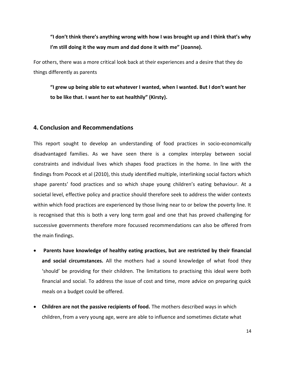**"I don't think there's anything wrong with how I was brought up and I think that's why I'm still doing it the way mum and dad done it with me" (Joanne).** 

For others, there was a more critical look back at their experiences and a desire that they do things differently as parents

**"I grew up being able to eat whatever I wanted, when I wanted. But I don't want her to be like that. I want her to eat healthily" (Kirsty).** 

### **4. Conclusion and Recommendations**

This report sought to develop an understanding of food practices in socio-economically disadvantaged families. As we have seen there is a complex interplay between social constraints and individual lives which shapes food practices in the home. In line with the findings from Pocock et al (2010), this study identified multiple, interlinking social factors which shape parents' food practices and so which shape young children's eating behaviour. At a societal level, effective policy and practice should therefore seek to address the wider contexts within which food practices are experienced by those living near to or below the poverty line. It is recognised that this is both a very long term goal and one that has proved challenging for successive governments therefore more focussed recommendations can also be offered from the main findings.

- **Parents have knowledge of healthy eating practices, but are restricted by their financial and social circumstances.** All the mothers had a sound knowledge of what food they 'should' be providing for their children. The limitations to practising this ideal were both financial and social. To address the issue of cost and time, more advice on preparing quick meals on a budget could be offered.
- **Children are not the passive recipients of food.** The mothers described ways in which children, from a very young age, were are able to influence and sometimes dictate what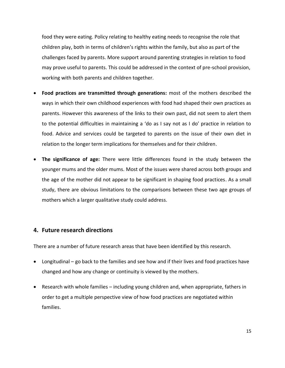food they were eating. Policy relating to healthy eating needs to recognise the role that children play, both in terms of children's rights within the family, but also as part of the challenges faced by parents. More support around parenting strategies in relation to food may prove useful to parents. This could be addressed in the context of pre-school provision, working with both parents and children together.

- **Food practices are transmitted through generations:** most of the mothers described the ways in which their own childhood experiences with food had shaped their own practices as parents. However this awareness of the links to their own past, did not seem to alert them to the potential difficulties in maintaining a 'do as I say not as I do' practice in relation to food. Advice and services could be targeted to parents on the issue of their own diet in relation to the longer term implications for themselves and for their children.
- **The significance of age:** There were little differences found in the study between the younger mums and the older mums. Most of the issues were shared across both groups and the age of the mother did not appear to be significant in shaping food practices. As a small study, there are obvious limitations to the comparisons between these two age groups of mothers which a larger qualitative study could address.

### **4. Future research directions**

There are a number of future research areas that have been identified by this research.

- Longitudinal go back to the families and see how and if their lives and food practices have changed and how any change or continuity is viewed by the mothers.
- Research with whole families including young children and, when appropriate, fathers in order to get a multiple perspective view of how food practices are negotiated within families.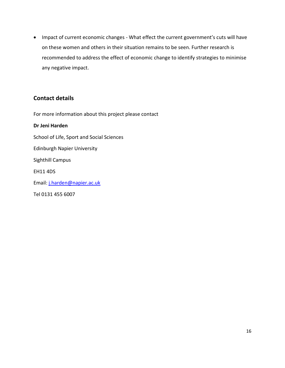Impact of current economic changes - What effect the current government's cuts will have on these women and others in their situation remains to be seen. Further research is recommended to address the effect of economic change to identify strategies to minimise any negative impact.

### **Contact details**

For more information about this project please contact

### **Dr Jeni Harden**

School of Life, Sport and Social Sciences

Edinburgh Napier University

Sighthill Campus

EH11 4DS

Email: [j.harden@napier.ac.uk](mailto:j.harden@napier.ac.uk)

Tel 0131 455 6007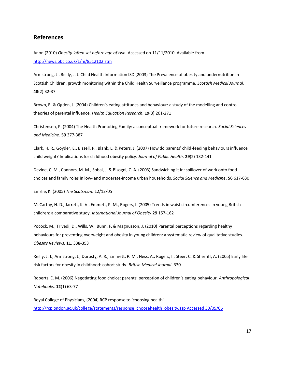### **References**

Anon (2010) *Obesity 'often set before age of two*. Accessed on 11/11/2010. Available from <http://news.bbc.co.uk/1/hi/8512102.stm>

Armstrong, J., Reilly, J. J. Child Health Information ISD (2003) The Prevalence of obesity and undernutrition in Scottish Children: growth monitoring within the Child Health Surveillance programme. *Scottish Medical Journal*. **48**(2) 32-37

Brown, R. & Ogden, J. (2004) Children's eating attitudes and behaviour: a study of the modelling and control theories of parental influence. *Health Education Research*. **19**(3) 261-271

Christensen, P. (2004) The Health Promoting Family: a conceptual framework for future research. *Social Sciences and Medicine*. **59** 377-387

Clark, H. R., Goyder, E., Bissell, P., Blank, L. & Peters, J. (2007) How do parents' child-feeding behaviours influence child weight? Implications for childhood obesity policy. *Journal of Public Health*. **29**(2) 132-141

Devine, C. M., Connors, M. M., Sobal, J. & Bisogni, C. A. (2003) Sandwiching it in: spillover of work onto food choices and family roles in low- and moderate-income urban households. *Social Science and Medicine*. **56** 617-630

Emslie, K. (2005) *The Scotsman*. 12/12/05

McCarthy, H. D., Jarrett, K. V., Emmett, P. M., Rogers, I. (2005) Trends in waist circumferences in young British children: a comparative study. *International Journal of Obesity* **29** 157-162

Pocock, M., Trivedi, D., Wills, W., Bunn, F. & Magnusson, J. (2010) Parental perceptions regarding healthy behaviours for preventing overweight and obesity in young children: a systematic review of qualitative studies. *Obesity Reviews*. **11**. 338-353

Reilly, J. J., Armstrong, J., Dorosty, A. R., Emmett, P. M., Ness, A., Rogers, I., Steer, C. & Sherriff, A. (2005) Early life risk factors for obesity in childhood: cohort study. *British Medical Journal*. 330

Roberts, E. M. (2006) Negotiating food choice: parents' perception of children's eating behaviour. *Anthropological Notebooks.* **12**(1) 63-77

Royal College of Physicians, (2004) RCP response to 'choosing health' [http://rcplondon.ac.uk/college/statements/response\\_choosehealth\\_obesity.asp Accessed 30/05/06](http://rcplondon.ac.uk/college/statements/response_choosehealth_obesity.asp%20Accessed%2030/05/06)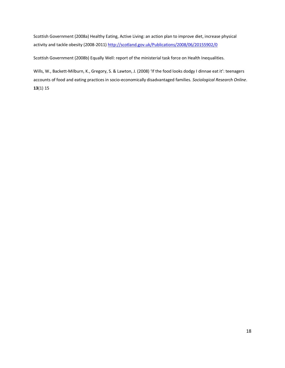Scottish Government (2008a) Healthy Eating, Active Living: an action plan to improve diet, increase physical activity and tackle obesity (2008-2011[\) http://scotland.gov.uk/Publications/2008/06/20155902/0](http://scotland.gov.uk/Publications/2008/06/20155902/0)

Scottish Government (2008b) Equally Well: report of the ministerial task force on Health Inequalities.

Wills, W., Backett-Milburn, K., Gregory, S. & Lawton, J. (2008) 'If the food looks dodgy I dinnae eat it': teenagers accounts of food and eating practices in socio-economically disadvantaged families. *Sociological Research Online*. **13**(1) 15